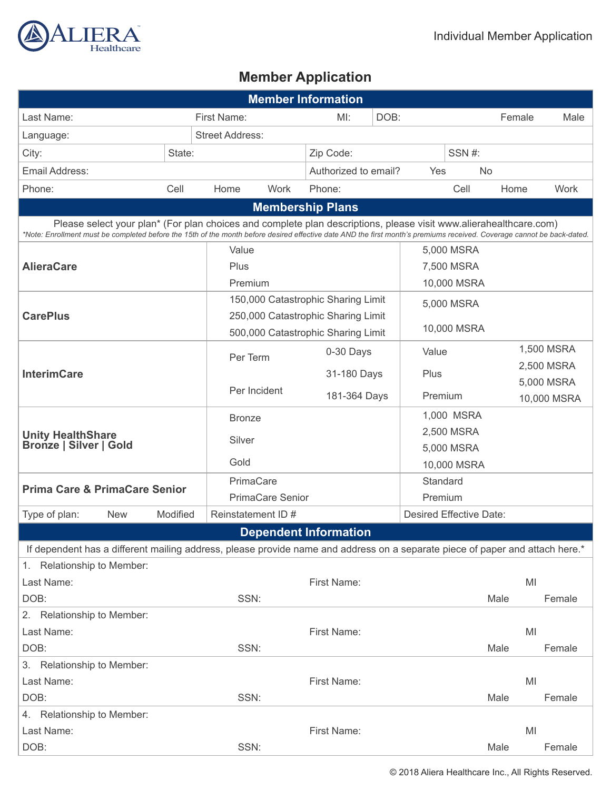

# **Member Application**

| <b>Member Information</b>                                                                                                                                                                                                                                                                   |             |                                    |                                              |                         |             |                                    |             |           |            |             |
|---------------------------------------------------------------------------------------------------------------------------------------------------------------------------------------------------------------------------------------------------------------------------------------------|-------------|------------------------------------|----------------------------------------------|-------------------------|-------------|------------------------------------|-------------|-----------|------------|-------------|
| Last Name:                                                                                                                                                                                                                                                                                  | First Name: |                                    | MI:                                          | DOB:                    |             |                                    |             | Female    | Male       |             |
| Language:                                                                                                                                                                                                                                                                                   |             | <b>Street Address:</b>             |                                              |                         |             |                                    |             |           |            |             |
| City:                                                                                                                                                                                                                                                                                       | State:      |                                    | Zip Code:                                    |                         |             | SSN#:                              |             |           |            |             |
| Email Address:                                                                                                                                                                                                                                                                              |             |                                    |                                              | Authorized to email?    |             | Yes                                |             | <b>No</b> |            |             |
| Phone:                                                                                                                                                                                                                                                                                      | Cell        | Home                               | Work                                         | Phone:                  |             |                                    | Cell        | Home      |            | Work        |
|                                                                                                                                                                                                                                                                                             |             |                                    |                                              | <b>Membership Plans</b> |             |                                    |             |           |            |             |
| Please select your plan* (For plan choices and complete plan descriptions, please visit www.alierahealthcare.com)<br>*Note: Enrollment must be completed before the 15th of the month before desired effective date AND the first month's premiums received. Coverage cannot be back-dated. |             |                                    |                                              |                         |             |                                    |             |           |            |             |
|                                                                                                                                                                                                                                                                                             |             | Value                              |                                              |                         |             |                                    | 5,000 MSRA  |           |            |             |
| <b>AlieraCare</b>                                                                                                                                                                                                                                                                           |             | Plus                               |                                              |                         |             |                                    | 7,500 MSRA  |           |            |             |
|                                                                                                                                                                                                                                                                                             |             | Premium                            |                                              |                         |             |                                    | 10,000 MSRA |           |            |             |
|                                                                                                                                                                                                                                                                                             |             |                                    | 150,000 Catastrophic Sharing Limit           |                         |             |                                    | 5,000 MSRA  |           |            |             |
| <b>CarePlus</b>                                                                                                                                                                                                                                                                             |             |                                    | 250,000 Catastrophic Sharing Limit           |                         |             | 10,000 MSRA                        |             |           |            |             |
|                                                                                                                                                                                                                                                                                             |             | 500,000 Catastrophic Sharing Limit |                                              |                         |             |                                    |             |           |            |             |
| <b>InterimCare</b>                                                                                                                                                                                                                                                                          |             | Per Term                           |                                              | 0-30 Days               |             | Value                              |             |           |            | 1,500 MSRA  |
|                                                                                                                                                                                                                                                                                             |             |                                    |                                              |                         | 31-180 Days |                                    | Plus        |           | 2,500 MSRA |             |
|                                                                                                                                                                                                                                                                                             |             | Per Incident                       |                                              | 181-364 Days            |             | Premium                            |             |           |            | 5,000 MSRA  |
|                                                                                                                                                                                                                                                                                             |             |                                    |                                              |                         |             |                                    |             |           |            | 10,000 MSRA |
|                                                                                                                                                                                                                                                                                             |             |                                    | <b>Bronze</b>                                |                         |             |                                    | 1,000 MSRA  |           |            |             |
| <b>Unity HealthShare</b><br><b>Bronze   Silver   Gold</b>                                                                                                                                                                                                                                   |             | Silver                             |                                              |                         |             |                                    | 2,500 MSRA  |           |            |             |
|                                                                                                                                                                                                                                                                                             |             | Gold                               |                                              |                         |             |                                    | 5,000 MSRA  |           |            |             |
|                                                                                                                                                                                                                                                                                             |             | PrimaCare                          |                                              |                         |             |                                    | 10,000 MSRA |           |            |             |
| <b>Prima Care &amp; PrimaCare Senior</b>                                                                                                                                                                                                                                                    |             |                                    |                                              |                         |             |                                    | Standard    |           |            |             |
| Type of plan:<br><b>New</b>                                                                                                                                                                                                                                                                 | Modified    |                                    | <b>PrimaCare Senior</b><br>Reinstatement ID# |                         |             | Premium<br>Desired Effective Date: |             |           |            |             |
|                                                                                                                                                                                                                                                                                             |             |                                    |                                              |                         |             |                                    |             |           |            |             |
| <b>Dependent Information</b><br>If dependent has a different mailing address, please provide name and address on a separate piece of paper and attach here.*                                                                                                                                |             |                                    |                                              |                         |             |                                    |             |           |            |             |
| 1. Relationship to Member:                                                                                                                                                                                                                                                                  |             |                                    |                                              |                         |             |                                    |             |           |            |             |
| Last Name:                                                                                                                                                                                                                                                                                  |             |                                    |                                              | First Name:             |             |                                    |             |           | MI         |             |
| DOB:                                                                                                                                                                                                                                                                                        |             |                                    | SSN:                                         |                         |             |                                    |             | Male      |            | Female      |
| 2. Relationship to Member:                                                                                                                                                                                                                                                                  |             |                                    |                                              |                         |             |                                    |             |           |            |             |
| Last Name:                                                                                                                                                                                                                                                                                  |             |                                    |                                              | First Name:             |             |                                    |             |           | MI         |             |
| DOB:                                                                                                                                                                                                                                                                                        |             | SSN:                               |                                              |                         |             |                                    |             | Male      |            | Female      |
| 3. Relationship to Member:                                                                                                                                                                                                                                                                  |             |                                    |                                              |                         |             |                                    |             |           |            |             |
| Last Name:                                                                                                                                                                                                                                                                                  |             |                                    |                                              | First Name:             |             |                                    |             |           | MI         |             |
| DOB:                                                                                                                                                                                                                                                                                        |             | SSN:                               |                                              |                         |             |                                    |             | Male      |            | Female      |
| 4. Relationship to Member:                                                                                                                                                                                                                                                                  |             |                                    |                                              |                         |             |                                    |             |           |            |             |
| Last Name:                                                                                                                                                                                                                                                                                  |             |                                    |                                              | First Name:             |             |                                    |             | MI        |            |             |
| DOB:                                                                                                                                                                                                                                                                                        |             | SSN:                               |                                              |                         |             |                                    |             | Male      |            | Female      |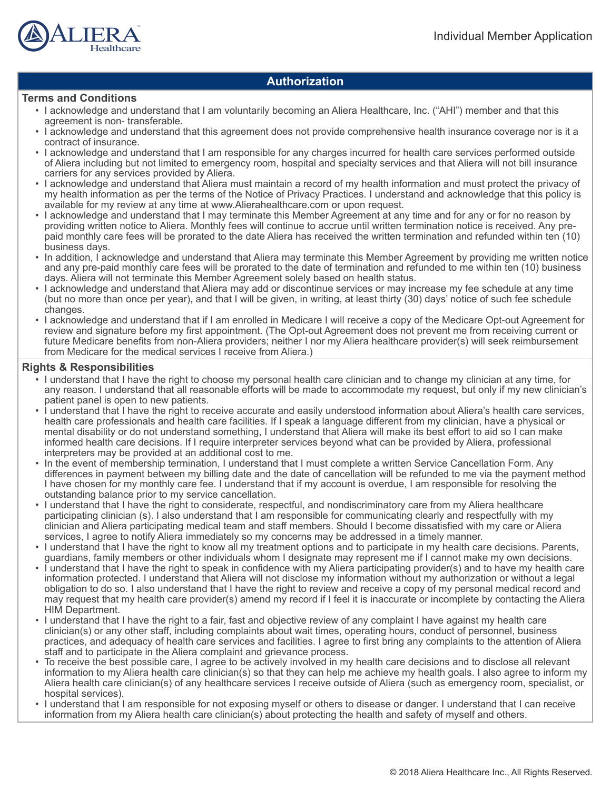

### **Authorization**

### **Terms and Conditions**

- I acknowledge and understand that I am voluntarily becoming an Aliera Healthcare, Inc. ("AHI") member and that this agreement is non- transferable.
- I acknowledge and understand that this agreement does not provide comprehensive health insurance coverage nor is it a contract of insurance.
- I acknowledge and understand that I am responsible for any charges incurred for health care services performed outside of Aliera including but not limited to emergency room, hospital and specialty services and that Aliera will not bill insurance carriers for any services provided by Aliera.
- I acknowledge and understand that Aliera must maintain a record of my health information and must protect the privacy of my health information as per the terms of the Notice of Privacy Practices. I understand and acknowledge that this policy is available for my review at any time at www.Alierahealthcare.com or upon request.
- I acknowledge and understand that I may terminate this Member Agreement at any time and for any or for no reason by providing written notice to Aliera. Monthly fees will continue to accrue until written termination notice is received. Any prepaid monthly care fees will be prorated to the date Aliera has received the written termination and refunded within ten (10) business days.
- In addition, I acknowledge and understand that Aliera may terminate this Member Agreement by providing me written notice and any pre-paid monthly care fees will be prorated to the date of termination and refunded to me within ten (10) business days. Aliera will not terminate this Member Agreement solely based on health status.
- I acknowledge and understand that Aliera may add or discontinue services or may increase my fee schedule at any time (but no more than once per year), and that I will be given, in writing, at least thirty (30) days' notice of such fee schedule changes.
- I acknowledge and understand that if I am enrolled in Medicare I will receive a copy of the Medicare Opt-out Agreement for review and signature before my first appointment. (The Opt-out Agreement does not prevent me from receiving current or future Medicare benefits from non-Aliera providers; neither I nor my Aliera healthcare provider(s) will seek reimbursement from Medicare for the medical services I receive from Aliera.)

### **Rights & Responsibilities**

- I understand that I have the right to choose my personal health care clinician and to change my clinician at any time, for any reason. I understand that all reasonable efforts will be made to accommodate my request, but only if my new clinician's patient panel is open to new patients.
- I understand that I have the right to receive accurate and easily understood information about Aliera's health care services, health care professionals and health care facilities. If I speak a language different from my clinician, have a physical or mental disability or do not understand something, I understand that Aliera will make its best effort to aid so I can make informed health care decisions. If I require interpreter services beyond what can be provided by Aliera, professional interpreters may be provided at an additional cost to me.
- In the event of membership termination, I understand that I must complete a written Service Cancellation Form. Any differences in payment between my billing date and the date of cancellation will be refunded to me via the payment method I have chosen for my monthly care fee. I understand that if my account is overdue, I am responsible for resolving the outstanding balance prior to my service cancellation.
- I understand that I have the right to considerate, respectful, and nondiscriminatory care from my Aliera healthcare participating clinician (s). I also understand that I am responsible for communicating clearly and respectfully with my clinician and Aliera participating medical team and staff members. Should I become dissatisfied with my care or Aliera services, I agree to notify Aliera immediately so my concerns may be addressed in a timely manner.
- I understand that I have the right to know all my treatment options and to participate in my health care decisions. Parents, guardians, family members or other individuals whom I designate may represent me if I cannot make my own decisions.
- I understand that I have the right to speak in confidence with my Aliera participating provider(s) and to have my health care information protected. I understand that Aliera will not disclose my information without my authorization or without a legal obligation to do so. I also understand that I have the right to review and receive a copy of my personal medical record and may request that my health care provider(s) amend my record if I feel it is inaccurate or incomplete by contacting the Aliera HIM Department.
- I understand that I have the right to a fair, fast and objective review of any complaint I have against my health care clinician(s) or any other staff, including complaints about wait times, operating hours, conduct of personnel, business practices, and adequacy of health care services and facilities. I agree to first bring any complaints to the attention of Aliera staff and to participate in the Aliera complaint and grievance process.
- To receive the best possible care, I agree to be actively involved in my health care decisions and to disclose all relevant information to my Aliera health care clinician(s) so that they can help me achieve my health goals. I also agree to inform my Aliera health care clinician(s) of any healthcare services I receive outside of Aliera (such as emergency room, specialist, or hospital services).
- I understand that I am responsible for not exposing myself or others to disease or danger. I understand that I can receive information from my Aliera health care clinician(s) about protecting the health and safety of myself and others.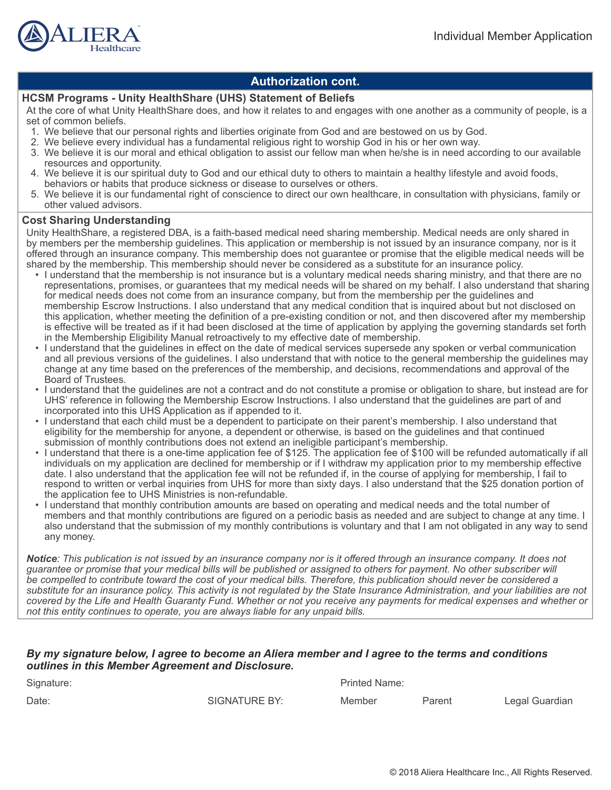

### **Authorization cont.**

### **HCSM Programs - Unity HealthShare (UHS) Statement of Beliefs**

At the core of what Unity HealthShare does, and how it relates to and engages with one another as a community of people, is a set of common beliefs.

- 1. We believe that our personal rights and liberties originate from God and are bestowed on us by God.
- 2. We believe every individual has a fundamental religious right to worship God in his or her own way.
- 3. We believe it is our moral and ethical obligation to assist our fellow man when he/she is in need according to our available resources and opportunity.
- 4. We believe it is our spiritual duty to God and our ethical duty to others to maintain a healthy lifestyle and avoid foods, behaviors or habits that produce sickness or disease to ourselves or others.
- 5. We believe it is our fundamental right of conscience to direct our own healthcare, in consultation with physicians, family or other valued advisors.

#### **Cost Sharing Understanding**

Unity HealthShare, a registered DBA, is a faith-based medical need sharing membership. Medical needs are only shared in by members per the membership guidelines. This application or membership is not issued by an insurance company, nor is it offered through an insurance company. This membership does not guarantee or promise that the eligible medical needs will be shared by the membership. This membership should never be considered as a substitute for an insurance policy.

- I understand that the membership is not insurance but is a voluntary medical needs sharing ministry, and that there are no representations, promises, or guarantees that my medical needs will be shared on my behalf. I also understand that sharing for medical needs does not come from an insurance company, but from the membership per the guidelines and membership Escrow Instructions. I also understand that any medical condition that is inquired about but not disclosed on this application, whether meeting the definition of a pre-existing condition or not, and then discovered after my membership is effective will be treated as if it had been disclosed at the time of application by applying the governing standards set forth in the Membership Eligibility Manual retroactively to my effective date of membership.
- I understand that the guidelines in effect on the date of medical services supersede any spoken or verbal communication and all previous versions of the guidelines. I also understand that with notice to the general membership the guidelines may change at any time based on the preferences of the membership, and decisions, recommendations and approval of the Board of Trustees.
- I understand that the guidelines are not a contract and do not constitute a promise or obligation to share, but instead are for UHS' reference in following the Membership Escrow Instructions. I also understand that the guidelines are part of and incorporated into this UHS Application as if appended to it.
- I understand that each child must be a dependent to participate on their parent's membership. I also understand that eligibility for the membership for anyone, a dependent or otherwise, is based on the guidelines and that continued submission of monthly contributions does not extend an ineligible participant's membership.
- I understand that there is a one-time application fee of \$125. The application fee of \$100 will be refunded automatically if all individuals on my application are declined for membership or if I withdraw my application prior to my membership effective date. I also understand that the application fee will not be refunded if, in the course of applying for membership, I fail to respond to written or verbal inquiries from UHS for more than sixty days. I also understand that the \$25 donation portion of the application fee to UHS Ministries is non-refundable.
- I understand that monthly contribution amounts are based on operating and medical needs and the total number of members and that monthly contributions are figured on a periodic basis as needed and are subject to change at any time. I also understand that the submission of my monthly contributions is voluntary and that I am not obligated in any way to send any money.

*Notice: This publication is not issued by an insurance company nor is it offered through an insurance company. It does not guarantee or promise that your medical bills will be published or assigned to others for payment. No other subscriber will be compelled to contribute toward the cost of your medical bills. Therefore, this publication should never be considered a substitute for an insurance policy. This activity is not regulated by the State Insurance Administration, and your liabilities are not covered by the Life and Health Guaranty Fund. Whether or not you receive any payments for medical expenses and whether or not this entity continues to operate, you are always liable for any unpaid bills.*

#### *By my signature below, I agree to become an Aliera member and I agree to the terms and conditions outlines in this Member Agreement and Disclosure.*

| Signature: | <b>Printed Name:</b> |        |        |                |  |  |
|------------|----------------------|--------|--------|----------------|--|--|
| Date:      | SIGNATURE BY:        | Member | Parent | Legal Guardian |  |  |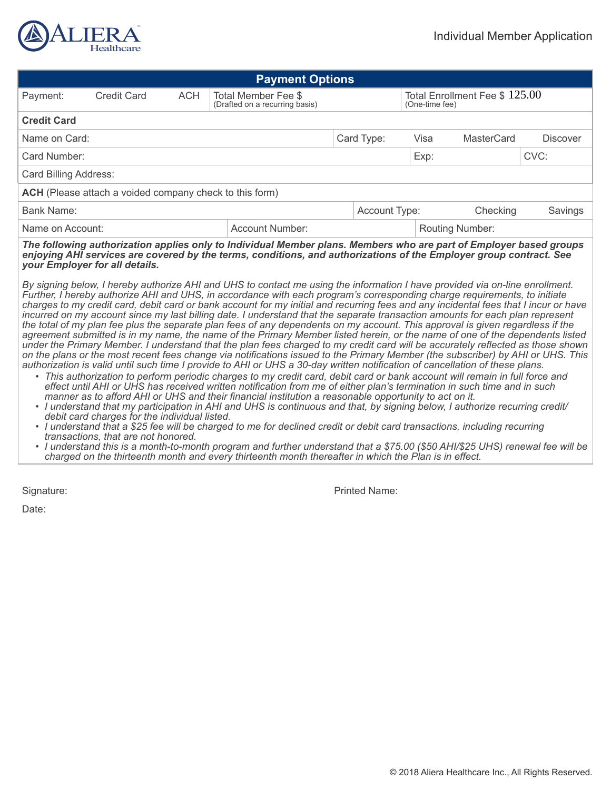

| <b>Payment Options</b>                                                                                                                                                                                                                                                                                                                                                                                                                                                                                                                                                                                                                                               |                                                                                           |  |  |                                                  |      |            |                 |      |  |
|----------------------------------------------------------------------------------------------------------------------------------------------------------------------------------------------------------------------------------------------------------------------------------------------------------------------------------------------------------------------------------------------------------------------------------------------------------------------------------------------------------------------------------------------------------------------------------------------------------------------------------------------------------------------|-------------------------------------------------------------------------------------------|--|--|--------------------------------------------------|------|------------|-----------------|------|--|
| Payment:                                                                                                                                                                                                                                                                                                                                                                                                                                                                                                                                                                                                                                                             | <b>Credit Card</b><br><b>ACH</b><br>Total Member Fee \$<br>(Drafted on a recurring basis) |  |  | Total Enrollment Fee $$125.00$<br>(One-time fee) |      |            |                 |      |  |
| <b>Credit Card</b>                                                                                                                                                                                                                                                                                                                                                                                                                                                                                                                                                                                                                                                   |                                                                                           |  |  |                                                  |      |            |                 |      |  |
| Name on Card:                                                                                                                                                                                                                                                                                                                                                                                                                                                                                                                                                                                                                                                        |                                                                                           |  |  | Card Type:<br>Visa                               |      | MasterCard | <b>Discover</b> |      |  |
| Card Number:                                                                                                                                                                                                                                                                                                                                                                                                                                                                                                                                                                                                                                                         |                                                                                           |  |  |                                                  | Exp: |            |                 | CVC: |  |
| Card Billing Address:                                                                                                                                                                                                                                                                                                                                                                                                                                                                                                                                                                                                                                                |                                                                                           |  |  |                                                  |      |            |                 |      |  |
| <b>ACH</b> (Please attach a voided company check to this form)                                                                                                                                                                                                                                                                                                                                                                                                                                                                                                                                                                                                       |                                                                                           |  |  |                                                  |      |            |                 |      |  |
| <b>Bank Name:</b><br>Account Type:<br>Checking                                                                                                                                                                                                                                                                                                                                                                                                                                                                                                                                                                                                                       |                                                                                           |  |  | Savings                                          |      |            |                 |      |  |
| Name on Account:<br>Account Number:                                                                                                                                                                                                                                                                                                                                                                                                                                                                                                                                                                                                                                  |                                                                                           |  |  | <b>Routing Number:</b>                           |      |            |                 |      |  |
| The following authorization applies only to Individual Member plans. Members who are part of Employer based groups<br>enjoying AHI services are covered by the terms, conditions, and authorizations of the Employer group contract. See<br>your Employer for all details.                                                                                                                                                                                                                                                                                                                                                                                           |                                                                                           |  |  |                                                  |      |            |                 |      |  |
| By signing below, I hereby authorize AHI and UHS to contact me using the information I have provided via on-line enrollment.<br>Further, I hereby authorize AHI and UHS, in accordance with each program's corresponding charge requirements, to initiate<br>charges to my credit card, debit card or bank account for my initial and recurring fees and any incidental fees that I incur or have<br>incurred on my account since my last billing date. I understand that the separate transaction amounts for each plan represent<br>the total of my plan fee plus the separate plan fees of any dependents on my account. This approval is given regardless if the |                                                                                           |  |  |                                                  |      |            |                 |      |  |

*agreement submitted is in my name, the name of the Primary Member listed herein, or the name of one of the dependents listed under the Primary Member. I understand that the plan fees charged to my credit card will be accurately reflected as those shown on the plans or the most recent fees change via notifications issued to the Primary Member (the subscriber) by AHI or UHS. This authorization is valid until such time I provide to AHI or UHS a 30-day written notification of cancellation of these plans.*

- *• This authorization to perform periodic charges to my credit card, debit card or bank account will remain in full force and effect until AHI or UHS has received written notification from me of either plan's termination in such time and in such manner as to afford AHI or UHS and their financial institution a reasonable opportunity to act on it.*
- *• I understand that my participation in AHI and UHS is continuous and that, by signing below, I authorize recurring credit/ debit card charges for the individual listed.*
- *• I understand that a \$25 fee will be charged to me for declined credit or debit card transactions, including recurring transactions, that are not honored.*
- *• I understand this is a month-to-month program and further understand that a \$75.00 (\$50 AHI/\$25 UHS) renewal fee will be charged on the thirteenth month and every thirteenth month thereafter in which the Plan is in effect.*

Date:

Signature: **Printed Name:** Printed Name: **Printed Name:** Printed Name: **Printed Name:** Printed Name: **Printed Name: Printed Name: Printed Name: Printed Name: Printed Name: Printed Name: Printed Name: Printed**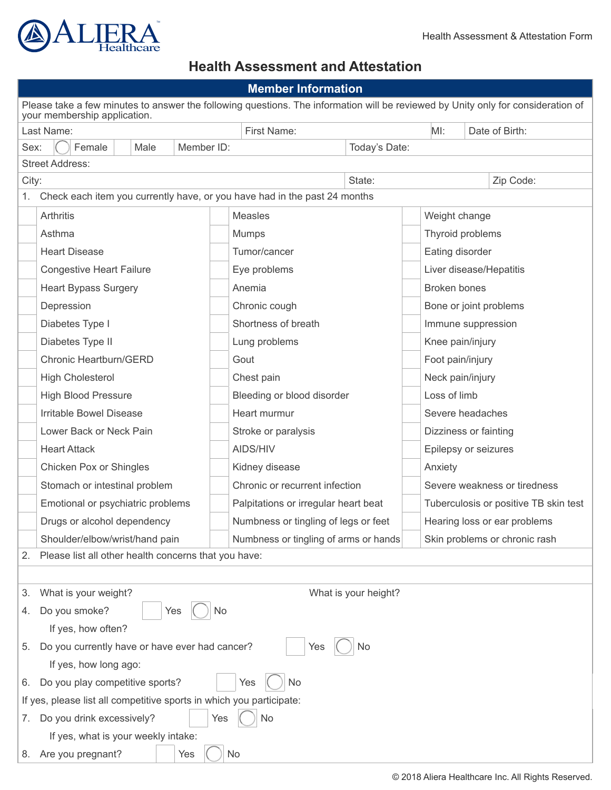

## **Health Assessment and Attestation**

| <b>Member Information</b>                                                                                                                                        |                                                                                                                    |                                       |                               |                         |  |  |  |  |
|------------------------------------------------------------------------------------------------------------------------------------------------------------------|--------------------------------------------------------------------------------------------------------------------|---------------------------------------|-------------------------------|-------------------------|--|--|--|--|
| Please take a few minutes to answer the following questions. The information will be reviewed by Unity only for consideration of<br>your membership application. |                                                                                                                    |                                       |                               |                         |  |  |  |  |
| Last Name:                                                                                                                                                       |                                                                                                                    | First Name:                           | MI:                           | Date of Birth:          |  |  |  |  |
| Sex:<br>Male<br>Member ID:<br>Today's Date:<br>Female                                                                                                            |                                                                                                                    |                                       |                               |                         |  |  |  |  |
|                                                                                                                                                                  | <b>Street Address:</b>                                                                                             |                                       |                               |                         |  |  |  |  |
| City:                                                                                                                                                            |                                                                                                                    | State:                                |                               | Zip Code:               |  |  |  |  |
| Check each item you currently have, or you have had in the past 24 months<br>1.                                                                                  |                                                                                                                    |                                       |                               |                         |  |  |  |  |
|                                                                                                                                                                  | <b>Arthritis</b>                                                                                                   | Measles                               | Weight change                 |                         |  |  |  |  |
|                                                                                                                                                                  | Asthma                                                                                                             | <b>Mumps</b>                          | Thyroid problems              |                         |  |  |  |  |
|                                                                                                                                                                  | <b>Heart Disease</b>                                                                                               | Tumor/cancer                          | Eating disorder               |                         |  |  |  |  |
|                                                                                                                                                                  | <b>Congestive Heart Failure</b>                                                                                    | Eye problems                          |                               | Liver disease/Hepatitis |  |  |  |  |
|                                                                                                                                                                  | <b>Heart Bypass Surgery</b>                                                                                        | Anemia                                | <b>Broken bones</b>           |                         |  |  |  |  |
|                                                                                                                                                                  | Depression                                                                                                         | Chronic cough                         |                               | Bone or joint problems  |  |  |  |  |
|                                                                                                                                                                  | Diabetes Type I                                                                                                    | Shortness of breath                   |                               | Immune suppression      |  |  |  |  |
|                                                                                                                                                                  | Diabetes Type II                                                                                                   | Lung problems                         |                               | Knee pain/injury        |  |  |  |  |
|                                                                                                                                                                  | Chronic Heartburn/GERD                                                                                             | Gout                                  |                               | Foot pain/injury        |  |  |  |  |
|                                                                                                                                                                  | <b>High Cholesterol</b>                                                                                            | Chest pain                            | Neck pain/injury              |                         |  |  |  |  |
| <b>High Blood Pressure</b>                                                                                                                                       |                                                                                                                    | Bleeding or blood disorder            | Loss of limb                  |                         |  |  |  |  |
| Irritable Bowel Disease                                                                                                                                          |                                                                                                                    | Heart murmur                          | Severe headaches              |                         |  |  |  |  |
| Lower Back or Neck Pain                                                                                                                                          |                                                                                                                    | Stroke or paralysis                   | Dizziness or fainting         |                         |  |  |  |  |
|                                                                                                                                                                  | <b>Heart Attack</b>                                                                                                | AIDS/HIV                              |                               | Epilepsy or seizures    |  |  |  |  |
|                                                                                                                                                                  | Chicken Pox or Shingles                                                                                            | Kidney disease                        | Anxiety                       |                         |  |  |  |  |
|                                                                                                                                                                  | Chronic or recurrent infection<br>Severe weakness or tiredness<br>Stomach or intestinal problem                    |                                       |                               |                         |  |  |  |  |
|                                                                                                                                                                  | Emotional or psychiatric problems<br>Palpitations or irregular heart beat<br>Tuberculosis or positive TB skin test |                                       |                               |                         |  |  |  |  |
|                                                                                                                                                                  | Drugs or alcohol dependency                                                                                        | Numbness or tingling of legs or feet  | Hearing loss or ear problems  |                         |  |  |  |  |
|                                                                                                                                                                  | Shoulder/elbow/wrist/hand pain                                                                                     | Numbness or tingling of arms or hands | Skin problems or chronic rash |                         |  |  |  |  |
| 2.                                                                                                                                                               | Please list all other health concerns that you have:                                                               |                                       |                               |                         |  |  |  |  |
|                                                                                                                                                                  |                                                                                                                    |                                       |                               |                         |  |  |  |  |
| What is your weight?<br>What is your height?<br>3.                                                                                                               |                                                                                                                    |                                       |                               |                         |  |  |  |  |
| Do you smoke?<br>No<br>4.<br>Yes                                                                                                                                 |                                                                                                                    |                                       |                               |                         |  |  |  |  |
| If yes, how often?                                                                                                                                               |                                                                                                                    |                                       |                               |                         |  |  |  |  |
| Do you currently have or have ever had cancer?<br>5.<br>Yes<br>No                                                                                                |                                                                                                                    |                                       |                               |                         |  |  |  |  |
| If yes, how long ago:                                                                                                                                            |                                                                                                                    |                                       |                               |                         |  |  |  |  |
| Do you play competitive sports?<br>Yes<br>No<br>6.                                                                                                               |                                                                                                                    |                                       |                               |                         |  |  |  |  |
| If yes, please list all competitive sports in which you participate:                                                                                             |                                                                                                                    |                                       |                               |                         |  |  |  |  |
| Do you drink excessively?<br>Yes<br>No                                                                                                                           |                                                                                                                    |                                       |                               |                         |  |  |  |  |
| If yes, what is your weekly intake:                                                                                                                              |                                                                                                                    |                                       |                               |                         |  |  |  |  |
| 8. Are you pregnant?<br>No<br>Yes                                                                                                                                |                                                                                                                    |                                       |                               |                         |  |  |  |  |